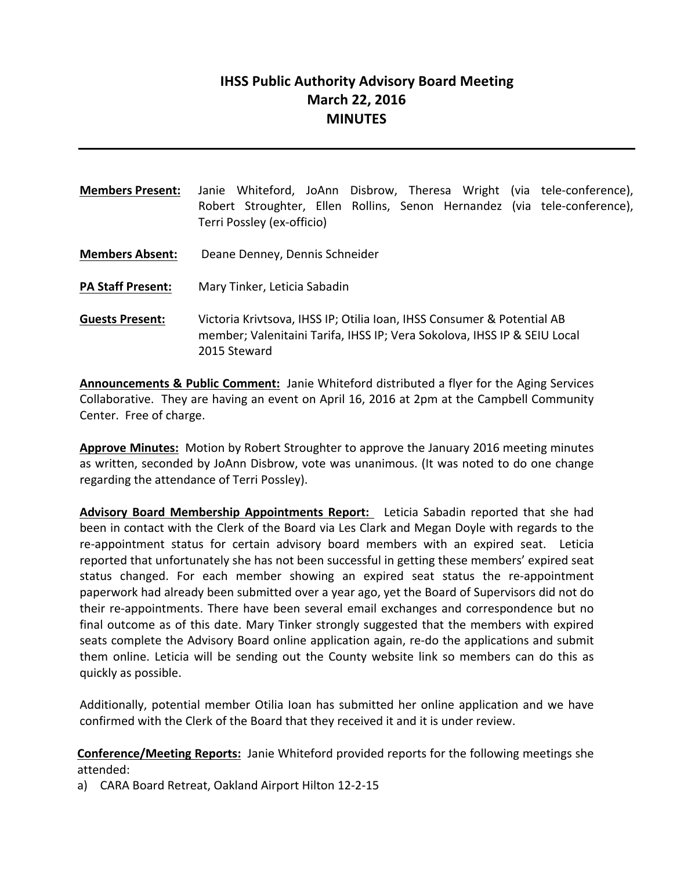# **IHSS Public Authority Advisory Board Meeting March 22, 2016 MINUTES**

- **Members Present:** Janie Whiteford, JoAnn Disbrow, Theresa Wright (via tele-conference), Robert Stroughter, Ellen Rollins, Senon Hernandez (via tele-conference), Terri Possley (ex-officio)
- **Members Absent:** Deane Denney, Dennis Schneider
- **PA Staff Present:** Mary Tinker, Leticia Sabadin
- **Guests Present:** Victoria Krivtsova, IHSS IP; Otilia Ioan, IHSS Consumer & Potential AB member; Valenitaini Tarifa, IHSS IP; Vera Sokolova, IHSS IP & SEIU Local 2015 Steward

**Announcements & Public Comment:** Janie Whiteford distributed a flyer for the Aging Services Collaborative. They are having an event on April 16, 2016 at 2pm at the Campbell Community Center. Free of charge.

**Approve Minutes:** Motion by Robert Stroughter to approve the January 2016 meeting minutes as written, seconded by JoAnn Disbrow, vote was unanimous. (It was noted to do one change regarding the attendance of Terri Possley).

**Advisory Board Membership Appointments Report:** Leticia Sabadin reported that she had been in contact with the Clerk of the Board via Les Clark and Megan Doyle with regards to the re-appointment status for certain advisory board members with an expired seat. Leticia reported that unfortunately she has not been successful in getting these members' expired seat status changed. For each member showing an expired seat status the re-appointment paperwork had already been submitted over a year ago, yet the Board of Supervisors did not do their re-appointments. There have been several email exchanges and correspondence but no final outcome as of this date. Mary Tinker strongly suggested that the members with expired seats complete the Advisory Board online application again, re-do the applications and submit them online. Leticia will be sending out the County website link so members can do this as quickly as possible.

Additionally, potential member Otilia Ioan has submitted her online application and we have confirmed with the Clerk of the Board that they received it and it is under review.

**Conference/Meeting Reports:** Janie Whiteford provided reports for the following meetings she attended:

a) CARA Board Retreat, Oakland Airport Hilton 12-2-15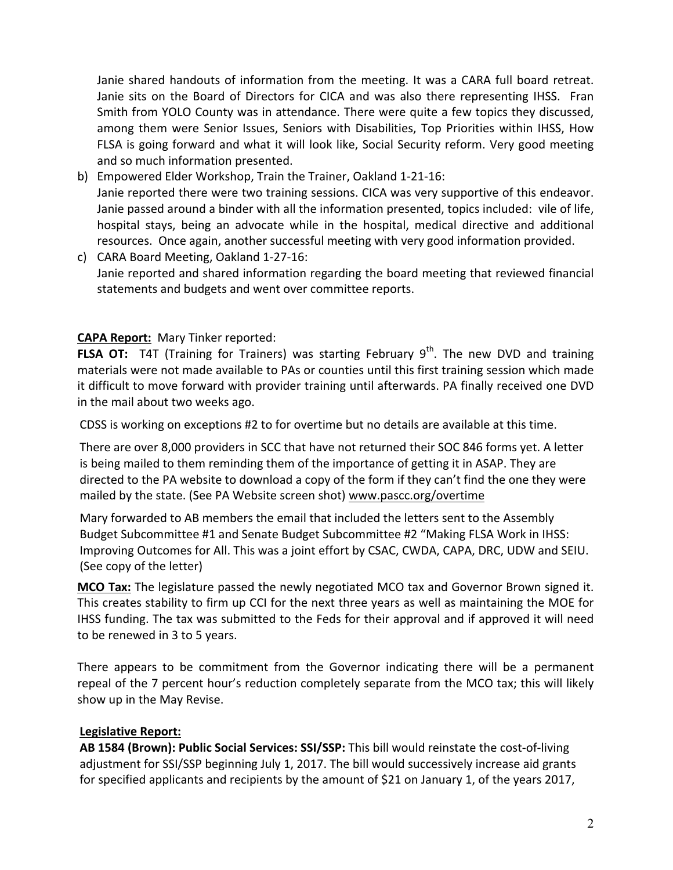Janie shared handouts of information from the meeting. It was a CARA full board retreat. Janie sits on the Board of Directors for CICA and was also there representing IHSS. Fran Smith from YOLO County was in attendance. There were quite a few topics they discussed, among them were Senior Issues, Seniors with Disabilities, Top Priorities within IHSS, How FLSA is going forward and what it will look like, Social Security reform. Very good meeting and so much information presented.

- b) Empowered Elder Workshop, Train the Trainer, Oakland 1-21-16: Janie reported there were two training sessions. CICA was very supportive of this endeavor. Janie passed around a binder with all the information presented, topics included: vile of life, hospital stays, being an advocate while in the hospital, medical directive and additional resources. Once again, another successful meeting with very good information provided.
- c) CARA Board Meeting, Oakland 1-27-16: Janie reported and shared information regarding the board meeting that reviewed financial statements and budgets and went over committee reports.

# **CAPA Report:** Mary Tinker reported:

**FLSA OT:** T4T (Training for Trainers) was starting February 9<sup>th</sup>. The new DVD and training materials were not made available to PAs or counties until this first training session which made it difficult to move forward with provider training until afterwards. PA finally received one DVD in the mail about two weeks ago.

CDSS is working on exceptions #2 to for overtime but no details are available at this time.

There are over 8,000 providers in SCC that have not returned their SOC 846 forms yet. A letter is being mailed to them reminding them of the importance of getting it in ASAP. They are directed to the PA website to download a copy of the form if they can't find the one they were mailed by the state. (See PA Website screen shot) www.pascc.org/overtime

Mary forwarded to AB members the email that included the letters sent to the Assembly Budget Subcommittee #1 and Senate Budget Subcommittee #2 "Making FLSA Work in IHSS: Improving Outcomes for All. This was a joint effort by CSAC, CWDA, CAPA, DRC, UDW and SEIU. (See copy of the letter)

**MCO Tax:** The legislature passed the newly negotiated MCO tax and Governor Brown signed it. This creates stability to firm up CCI for the next three years as well as maintaining the MOE for IHSS funding. The tax was submitted to the Feds for their approval and if approved it will need to be renewed in 3 to 5 years.

There appears to be commitment from the Governor indicating there will be a permanent repeal of the 7 percent hour's reduction completely separate from the MCO tax; this will likely show up in the May Revise.

## **Legislative Report:**

**AB 1584 (Brown): Public Social Services: SSI/SSP:** This bill would reinstate the cost-of-living adjustment for SSI/SSP beginning July 1, 2017. The bill would successively increase aid grants for specified applicants and recipients by the amount of \$21 on January 1, of the years 2017,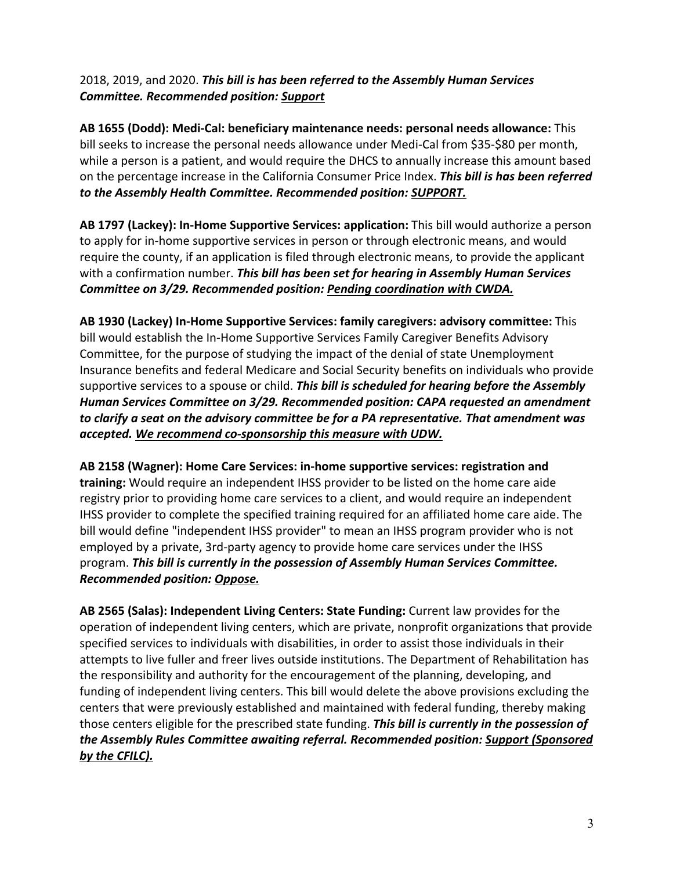# 2018, 2019, and 2020. This bill is has been referred to the Assembly Human Services *Committee. Recommended position: Support*

**AB 1655 (Dodd): Medi-Cal: beneficiary maintenance needs: personal needs allowance:** This bill seeks to increase the personal needs allowance under Medi-Cal from \$35-\$80 per month, while a person is a patient, and would require the DHCS to annually increase this amount based on the percentage increase in the California Consumer Price Index. This bill is has been referred to the Assembly Health Committee. Recommended position: SUPPORT.

AB 1797 (Lackey): In-Home Supportive Services: application: This bill would authorize a person to apply for in-home supportive services in person or through electronic means, and would require the county, if an application is filed through electronic means, to provide the applicant with a confirmation number. This bill has been set for hearing in Assembly Human Services **Committee on 3/29. Recommended position: Pending coordination with CWDA.** 

AB 1930 (Lackey) In-Home Supportive Services: family caregivers: advisory committee: This bill would establish the In-Home Supportive Services Family Caregiver Benefits Advisory Committee, for the purpose of studying the impact of the denial of state Unemployment Insurance benefits and federal Medicare and Social Security benefits on individuals who provide supportive services to a spouse or child. This bill is scheduled for hearing before the Assembly *Human Services Committee on 3/29. Recommended position: CAPA requested an amendment* to clarify a seat on the advisory committee be for a PA representative. That amendment was accepted. We recommend co-sponsorship this measure with UDW.

AB 2158 (Wagner): Home Care Services: in-home supportive services: registration and training: Would require an independent IHSS provider to be listed on the home care aide registry prior to providing home care services to a client, and would require an independent IHSS provider to complete the specified training required for an affiliated home care aide. The bill would define "independent IHSS provider" to mean an IHSS program provider who is not employed by a private, 3rd-party agency to provide home care services under the IHSS program. This bill is currently in the possession of Assembly Human Services Committee. *Recommended position: Oppose.*

AB 2565 (Salas): Independent Living Centers: State Funding: Current law provides for the operation of independent living centers, which are private, nonprofit organizations that provide specified services to individuals with disabilities, in order to assist those individuals in their attempts to live fuller and freer lives outside institutions. The Department of Rehabilitation has the responsibility and authority for the encouragement of the planning, developing, and funding of independent living centers. This bill would delete the above provisions excluding the centers that were previously established and maintained with federal funding, thereby making those centers eligible for the prescribed state funding. This bill is currently in the possession of the Assembly Rules Committee awaiting referral. Recommended position: Support (Sponsored by the CFILC).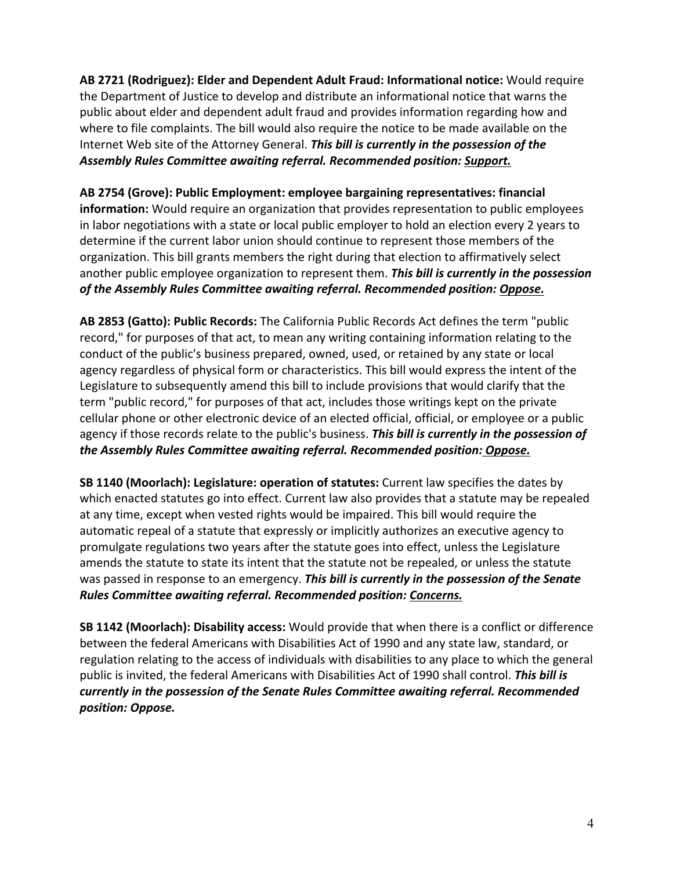AB 2721 (Rodriguez): Elder and Dependent Adult Fraud: Informational notice: Would require the Department of Justice to develop and distribute an informational notice that warns the public about elder and dependent adult fraud and provides information regarding how and where to file complaints. The bill would also require the notice to be made available on the Internet Web site of the Attorney General. This bill is currently in the possession of the Assembly Rules Committee awaiting referral. Recommended position: Support.

AB 2754 (Grove): Public Employment: employee bargaining representatives: financial **information:** Would require an organization that provides representation to public employees in labor negotiations with a state or local public employer to hold an election every 2 years to determine if the current labor union should continue to represent those members of the organization. This bill grants members the right during that election to affirmatively select another public employee organization to represent them. This bill is currently in the possession of the Assembly Rules Committee awaiting referral. Recommended position: Oppose.

AB 2853 (Gatto): Public Records: The California Public Records Act defines the term "public record," for purposes of that act, to mean any writing containing information relating to the conduct of the public's business prepared, owned, used, or retained by any state or local agency regardless of physical form or characteristics. This bill would express the intent of the Legislature to subsequently amend this bill to include provisions that would clarify that the term "public record," for purposes of that act, includes those writings kept on the private cellular phone or other electronic device of an elected official, official, or employee or a public agency if those records relate to the public's business. This bill is currently in the possession of *the Assembly Rules Committee awaiting referral. Recommended position: Oppose.* 

**SB 1140 (Moorlach): Legislature: operation of statutes:** Current law specifies the dates by which enacted statutes go into effect. Current law also provides that a statute may be repealed at any time, except when vested rights would be impaired. This bill would require the automatic repeal of a statute that expressly or implicitly authorizes an executive agency to promulgate regulations two years after the statute goes into effect, unless the Legislature amends the statute to state its intent that the statute not be repealed, or unless the statute was passed in response to an emergency. This bill is currently in the possession of the Senate *Rules Committee awaiting referral. Recommended position: Concerns.*

**SB 1142 (Moorlach): Disability access:** Would provide that when there is a conflict or difference between the federal Americans with Disabilities Act of 1990 and any state law, standard, or regulation relating to the access of individuals with disabilities to any place to which the general public is invited, the federal Americans with Disabilities Act of 1990 shall control. This bill is currently in the possession of the Senate Rules Committee awaiting referral. Recommended *position: Oppose.*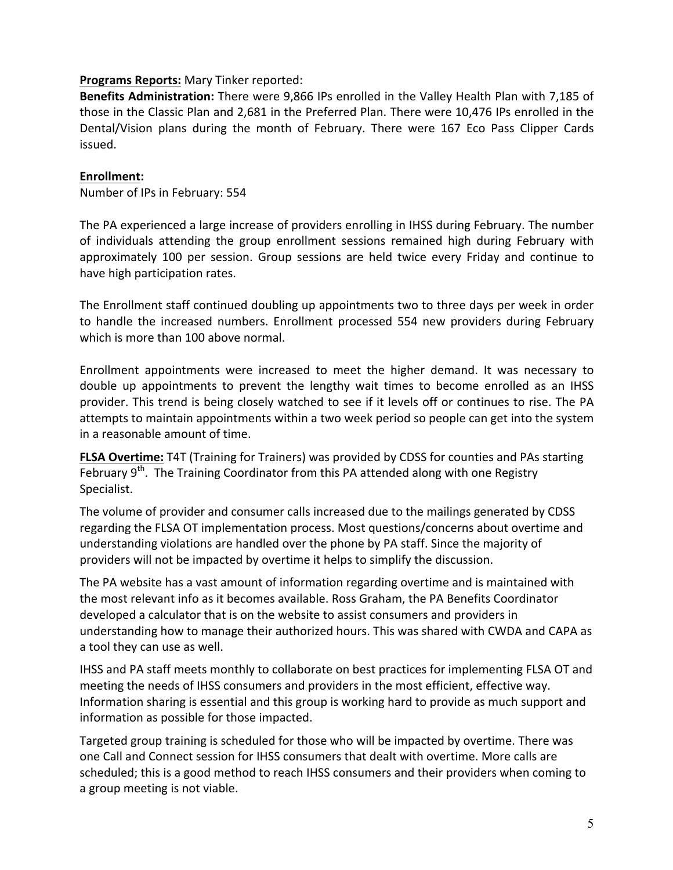#### **Programs Reports:** Mary Tinker reported:

**Benefits Administration:** There were 9,866 IPs enrolled in the Valley Health Plan with 7,185 of those in the Classic Plan and 2,681 in the Preferred Plan. There were 10,476 IPs enrolled in the Dental/Vision plans during the month of February. There were 167 Eco Pass Clipper Cards issued.

#### **Enrollment:**

Number of IPs in February: 554

The PA experienced a large increase of providers enrolling in IHSS during February. The number of individuals attending the group enrollment sessions remained high during February with approximately 100 per session. Group sessions are held twice every Friday and continue to have high participation rates.

The Enrollment staff continued doubling up appointments two to three days per week in order to handle the increased numbers. Enrollment processed 554 new providers during February which is more than 100 above normal.

Enrollment appointments were increased to meet the higher demand. It was necessary to double up appointments to prevent the lengthy wait times to become enrolled as an IHSS provider. This trend is being closely watched to see if it levels off or continues to rise. The PA attempts to maintain appointments within a two week period so people can get into the system in a reasonable amount of time.

**FLSA Overtime:** T4T (Training for Trainers) was provided by CDSS for counties and PAs starting February  $9<sup>th</sup>$ . The Training Coordinator from this PA attended along with one Registry Specialist. 

The volume of provider and consumer calls increased due to the mailings generated by CDSS regarding the FLSA OT implementation process. Most questions/concerns about overtime and understanding violations are handled over the phone by PA staff. Since the majority of providers will not be impacted by overtime it helps to simplify the discussion.

The PA website has a vast amount of information regarding overtime and is maintained with the most relevant info as it becomes available. Ross Graham, the PA Benefits Coordinator developed a calculator that is on the website to assist consumers and providers in understanding how to manage their authorized hours. This was shared with CWDA and CAPA as a tool they can use as well.

IHSS and PA staff meets monthly to collaborate on best practices for implementing FLSA OT and meeting the needs of IHSS consumers and providers in the most efficient, effective way. Information sharing is essential and this group is working hard to provide as much support and information as possible for those impacted.

Targeted group training is scheduled for those who will be impacted by overtime. There was one Call and Connect session for IHSS consumers that dealt with overtime. More calls are scheduled; this is a good method to reach IHSS consumers and their providers when coming to a group meeting is not viable.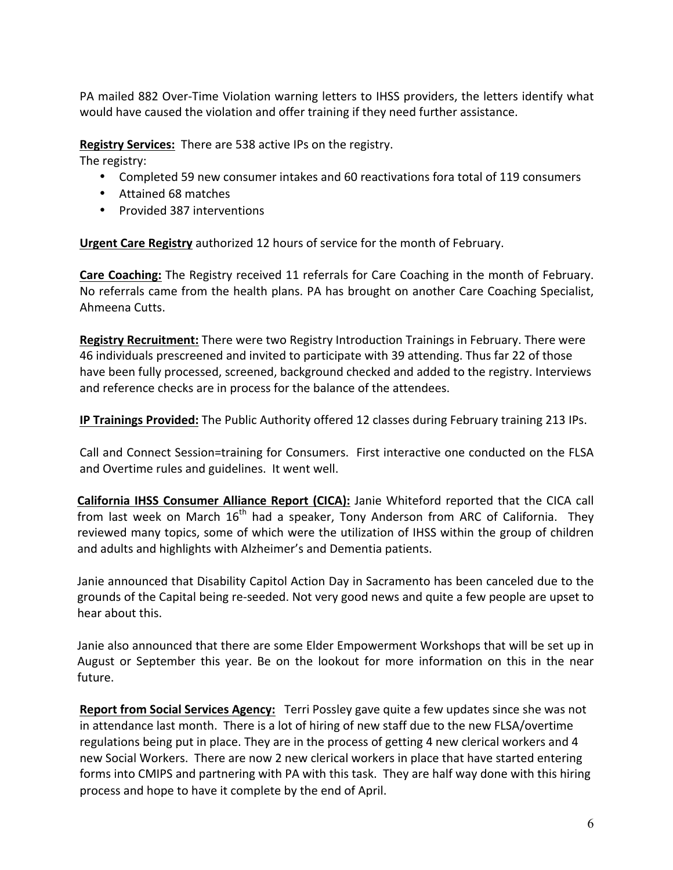PA mailed 882 Over-Time Violation warning letters to IHSS providers, the letters identify what would have caused the violation and offer training if they need further assistance.

**Registry Services:** There are 538 active IPs on the registry.

The registry:

- Completed 59 new consumer intakes and 60 reactivations fora total of 119 consumers
- Attained 68 matches
- Provided 387 interventions

**Urgent Care Registry** authorized 12 hours of service for the month of February.

**Care Coaching:** The Registry received 11 referrals for Care Coaching in the month of February. No referrals came from the health plans. PA has brought on another Care Coaching Specialist, Ahmeena Cutts.

**Registry Recruitment:** There were two Registry Introduction Trainings in February. There were 46 individuals prescreened and invited to participate with 39 attending. Thus far 22 of those have been fully processed, screened, background checked and added to the registry. Interviews and reference checks are in process for the balance of the attendees.

**IP Trainings Provided:** The Public Authority offered 12 classes during February training 213 IPs.

Call and Connect Session=training for Consumers. First interactive one conducted on the FLSA and Overtime rules and guidelines. It went well.

**California IHSS Consumer Alliance Report (CICA):** Janie Whiteford reported that the CICA call from last week on March  $16<sup>th</sup>$  had a speaker, Tony Anderson from ARC of California. They reviewed many topics, some of which were the utilization of IHSS within the group of children and adults and highlights with Alzheimer's and Dementia patients.

Janie announced that Disability Capitol Action Day in Sacramento has been canceled due to the grounds of the Capital being re-seeded. Not very good news and quite a few people are upset to hear about this.

Janie also announced that there are some Elder Empowerment Workshops that will be set up in August or September this year. Be on the lookout for more information on this in the near future.

**Report from Social Services Agency:** Terri Possley gave quite a few updates since she was not in attendance last month. There is a lot of hiring of new staff due to the new FLSA/overtime regulations being put in place. They are in the process of getting 4 new clerical workers and 4 new Social Workers. There are now 2 new clerical workers in place that have started entering forms into CMIPS and partnering with PA with this task. They are half way done with this hiring process and hope to have it complete by the end of April.